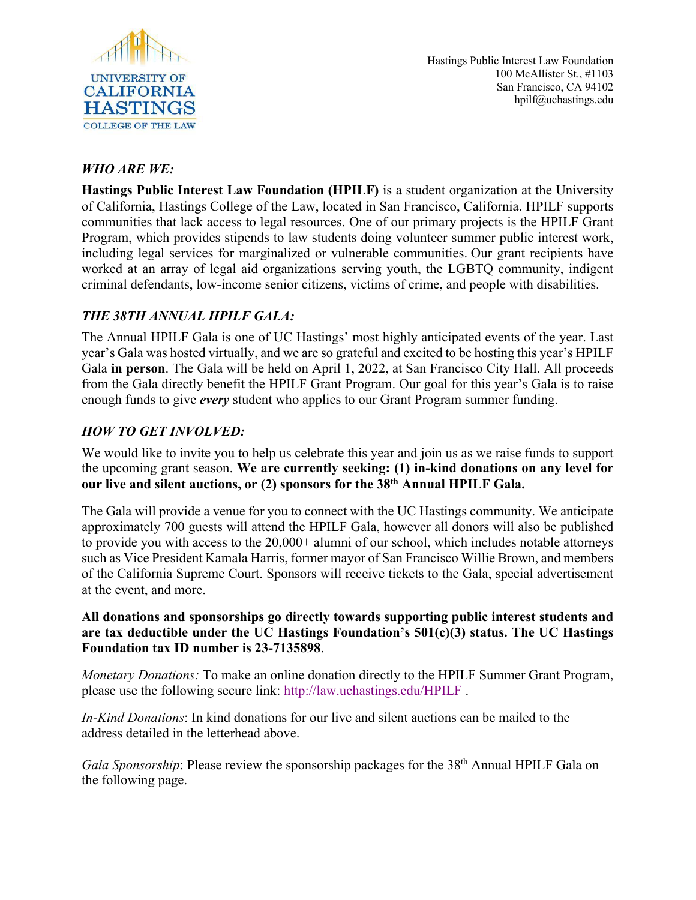

# *WHO ARE WE:*

**Hastings Public Interest Law Foundation (HPILF)** is a student organization at the University of California, Hastings College of the Law, located in San Francisco, California. HPILF supports communities that lack access to legal resources. One of our primary projects is the HPILF Grant Program, which provides stipends to law students doing volunteer summer public interest work, including legal services for marginalized or vulnerable communities. Our grant recipients have worked at an array of legal aid organizations serving youth, the LGBTQ community, indigent criminal defendants, low-income senior citizens, victims of crime, and people with disabilities.

# *THE 38TH ANNUAL HPILF GALA:*

The Annual HPILF Gala is one of UC Hastings' most highly anticipated events of the year. Last year's Gala was hosted virtually, and we are so grateful and excited to be hosting this year's HPILF Gala **in person**. The Gala will be held on April 1, 2022, at San Francisco City Hall. All proceeds from the Gala directly benefit the HPILF Grant Program. Our goal for this year's Gala is to raise enough funds to give *every* student who applies to our Grant Program summer funding.

# *HOW TO GET INVOLVED:*

We would like to invite you to help us celebrate this year and join us as we raise funds to support the upcoming grant season. **We are currently seeking: (1) in-kind donations on any level for our live and silent auctions, or (2) sponsors for the 38th Annual HPILF Gala.**

The Gala will provide a venue for you to connect with the UC Hastings community. We anticipate approximately 700 guests will attend the HPILF Gala, however all donors will also be published to provide you with access to the 20,000+ alumni of our school, which includes notable attorneys such as Vice President Kamala Harris, former mayor of San Francisco Willie Brown, and members of the California Supreme Court. Sponsors will receive tickets to the Gala, special advertisement at the event, and more.

### **All donations and sponsorships go directly towards supporting public interest students and are tax deductible under the UC Hastings Foundation's 501(c)(3) status. The UC Hastings Foundation tax ID number is 23-7135898**.

*Monetary Donations:* To make an online donation directly to the HPILF Summer Grant Program, please use the following secure link: http://law.uchastings.edu/HPILF .

*In-Kind Donations*: In kind donations for our live and silent auctions can be mailed to the address detailed in the letterhead above.

*Gala Sponsorship*: Please review the sponsorship packages for the 38<sup>th</sup> Annual HPILF Gala on the following page.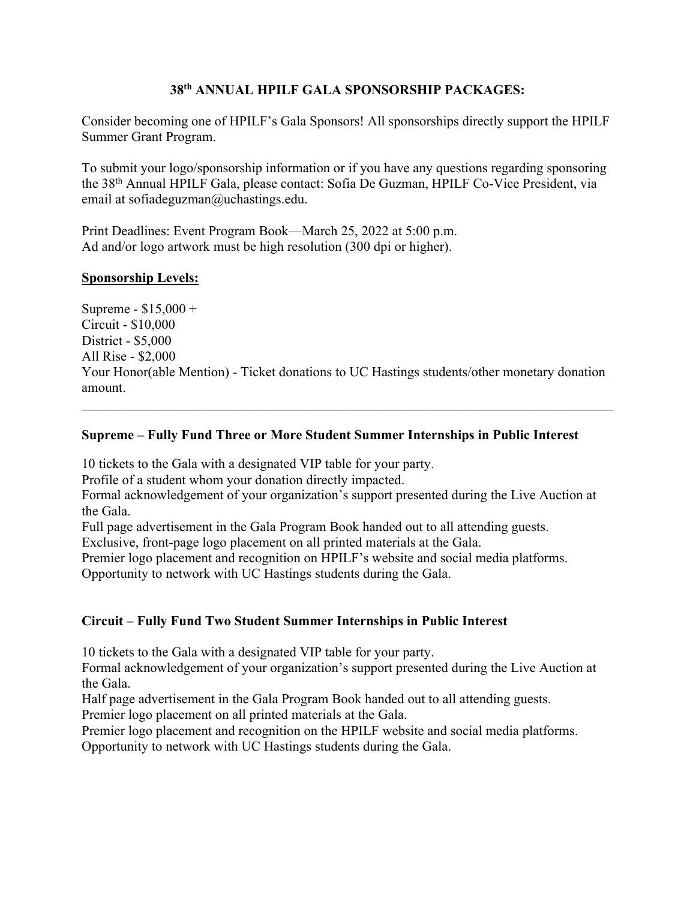## **38th ANNUAL HPILF GALA SPONSORSHIP PACKAGES:**

Consider becoming one of HPILF's Gala Sponsors! All sponsorships directly support the HPILF Summer Grant Program.

To submit your logo/sponsorship information or if you have any questions regarding sponsoring the 38th Annual HPILF Gala, please contact: Sofia De Guzman, HPILF Co-Vice President, via email at sofiadeguzman@uchastings.edu.

Print Deadlines: Event Program Book—March 25, 2022 at 5:00 p.m. Ad and/or logo artwork must be high resolution (300 dpi or higher).

#### **Sponsorship Levels:**

Supreme - \$15,000 + Circuit - \$10,000 District - \$5,000 All Rise - \$2,000 Your Honor(able Mention) - Ticket donations to UC Hastings students/other monetary donation amount.

### **Supreme – Fully Fund Three or More Student Summer Internships in Public Interest**

10 tickets to the Gala with a designated VIP table for your party.

Profile of a student whom your donation directly impacted.

Formal acknowledgement of your organization's support presented during the Live Auction at the Gala.

Full page advertisement in the Gala Program Book handed out to all attending guests.

Exclusive, front-page logo placement on all printed materials at the Gala.

Premier logo placement and recognition on HPILF's website and social media platforms.

Opportunity to network with UC Hastings students during the Gala.

## **Circuit – Fully Fund Two Student Summer Internships in Public Interest**

10 tickets to the Gala with a designated VIP table for your party.

Formal acknowledgement of your organization's support presented during the Live Auction at the Gala.

Half page advertisement in the Gala Program Book handed out to all attending guests.

Premier logo placement on all printed materials at the Gala.

Premier logo placement and recognition on the HPILF website and social media platforms. Opportunity to network with UC Hastings students during the Gala.